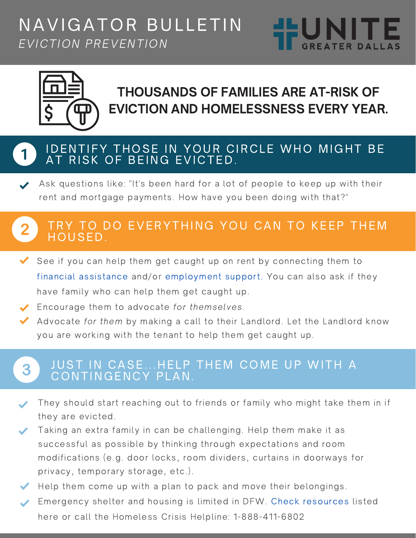# NAVIGATOR BULLETIN EVICTION PREVENTION





## THOUSANDS OF FAMILIES ARE AT-RISK OF EVICTION AND HOMELESSNESS EVERY YEAR.

### IDENTIFY THOSE IN YOUR CIRCLE WHO MIGHT BE AT RISK OF BEING EVICTED.

Ask questions like: "It's been hard for a lot of people to keep up with their rent and mortgage payments. How have you been doing with that?"

#### TRY TO DO EVERYTHING YOU CAN TO KEEP THEM  $\overline{2}$ HOUSED.

See if you can help them get caught up on rent by connecting them to financial assistance and/or employment support. You can also ask if they have family who can help them get caught up.

◆ Encourage them to advocate for themselves.

Advocate for them by making a call to their Landlord. Let the Landlord know you are working with the tenant to help them get caught up.

#### JUST IN CASE...HELP THEM COME UP WITH A 3 CONTINGENCY PLAN.

They should start reaching out to friends or family who might take them in if they are evicted.

Taking an extra family in can be challenging. Help them make it as successful as possible by thinking through expectations and room modifications (e.g. door locks, room dividers, curtains in doorways for privacy, temporary storage, etc.).

 $\blacktriangleright$  Help them come up with a plan to pack and move their belongings.

Emergency shelter and housing is limited in DFW. Check resources listed here or call the Homeless Crisis Helpline: 1-888-411-6802